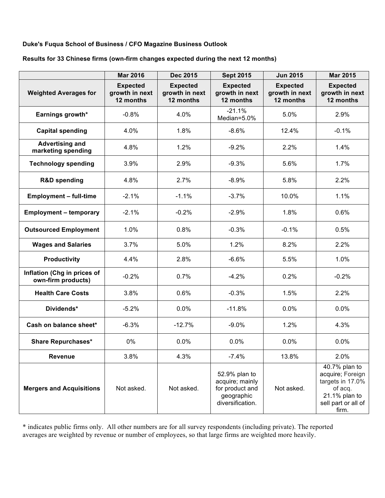## **Duke's Fuqua School of Business / CFO Magazine Business Outlook**

## **Results for 33 Chinese firms (own-firm changes expected during the next 12 months)**

|                                                   | <b>Mar 2016</b>                                | <b>Dec 2015</b>                                | <b>Sept 2015</b>                                                                      | <b>Jun 2015</b>                                | <b>Mar 2015</b>                                                                                                   |
|---------------------------------------------------|------------------------------------------------|------------------------------------------------|---------------------------------------------------------------------------------------|------------------------------------------------|-------------------------------------------------------------------------------------------------------------------|
| <b>Weighted Averages for</b>                      | <b>Expected</b><br>growth in next<br>12 months | <b>Expected</b><br>growth in next<br>12 months | <b>Expected</b><br>growth in next<br>12 months                                        | <b>Expected</b><br>growth in next<br>12 months | <b>Expected</b><br>growth in next<br>12 months                                                                    |
| Earnings growth*                                  | $-0.8%$                                        | 4.0%                                           | $-21.1%$<br>Median=5.0%                                                               | 5.0%                                           | 2.9%                                                                                                              |
| <b>Capital spending</b>                           | 4.0%                                           | 1.8%                                           | $-8.6%$                                                                               | 12.4%                                          | $-0.1%$                                                                                                           |
| <b>Advertising and</b><br>marketing spending      | 4.8%                                           | 1.2%                                           | $-9.2%$                                                                               | 2.2%                                           | 1.4%                                                                                                              |
| <b>Technology spending</b>                        | 3.9%                                           | 2.9%                                           | $-9.3%$                                                                               | 5.6%                                           | 1.7%                                                                                                              |
| <b>R&amp;D spending</b>                           | 4.8%                                           | 2.7%                                           | $-8.9%$                                                                               | 5.8%                                           | 2.2%                                                                                                              |
| <b>Employment - full-time</b>                     | $-2.1%$                                        | $-1.1%$                                        | $-3.7%$                                                                               | 10.0%                                          | 1.1%                                                                                                              |
| <b>Employment - temporary</b>                     | $-2.1%$                                        | $-0.2%$                                        | $-2.9%$                                                                               | 1.8%                                           | 0.6%                                                                                                              |
| <b>Outsourced Employment</b>                      | 1.0%                                           | 0.8%                                           | $-0.3%$                                                                               | $-0.1%$                                        | 0.5%                                                                                                              |
| <b>Wages and Salaries</b>                         | 3.7%                                           | 5.0%                                           | 1.2%                                                                                  | 8.2%                                           | 2.2%                                                                                                              |
| <b>Productivity</b>                               | 4.4%                                           | 2.8%                                           | $-6.6%$                                                                               | 5.5%                                           | 1.0%                                                                                                              |
| Inflation (Chg in prices of<br>own-firm products) | $-0.2%$                                        | 0.7%                                           | $-4.2%$                                                                               | 0.2%                                           | $-0.2%$                                                                                                           |
| <b>Health Care Costs</b>                          | 3.8%                                           | 0.6%                                           | $-0.3%$                                                                               | 1.5%                                           | 2.2%                                                                                                              |
| Dividends*                                        | $-5.2%$                                        | 0.0%                                           | $-11.8%$                                                                              | 0.0%                                           | 0.0%                                                                                                              |
| Cash on balance sheet*                            | $-6.3%$                                        | $-12.7%$                                       | $-9.0%$                                                                               | 1.2%                                           | 4.3%                                                                                                              |
| <b>Share Repurchases*</b>                         | 0%                                             | 0.0%                                           | 0.0%                                                                                  | 0.0%                                           | 0.0%                                                                                                              |
| <b>Revenue</b>                                    | 3.8%                                           | 4.3%                                           | $-7.4%$                                                                               | 13.8%                                          | 2.0%                                                                                                              |
| <b>Mergers and Acquisitions</b>                   | Not asked.                                     | Not asked.                                     | 52.9% plan to<br>acquire; mainly<br>for product and<br>geographic<br>diversification. | Not asked.                                     | 40.7% plan to<br>acquire; Foreign<br>targets in 17.0%<br>of acq.<br>21.1% plan to<br>sell part or all of<br>firm. |

\* indicates public firms only. All other numbers are for all survey respondents (including private). The reported averages are weighted by revenue or number of employees, so that large firms are weighted more heavily.